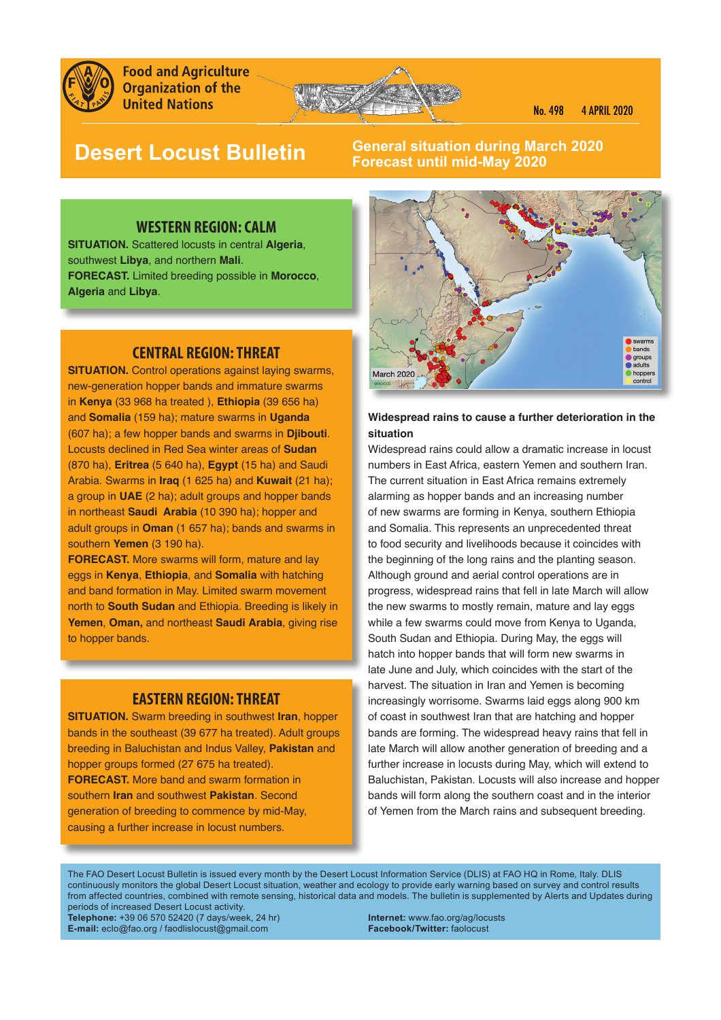

**Food and Agriculture Organization of the United Nations** 



# **Desert Locust Bulletin**

# **General situation during March 2020 Forecast until mid-May 2020**

# **WESTERN REGION: CALM**

**SITUATION.** Scattered locusts in central **Algeria**, southwest **Libya**, and northern **Mali**. **FORECAST.** Limited breeding possible in **Morocco**, **Algeria** and **Libya**.

# **CENTRAL REGION: THREAT**

**SITUATION.** Control operations against laying swarms, new-generation hopper bands and immature swarms in **Kenya** (33 968 ha treated ), **Ethiopia** (39 656 ha) and **Somalia** (159 ha); mature swarms in **Uganda** (607 ha); a few hopper bands and swarms in **Djibouti**. Locusts declined in Red Sea winter areas of **Sudan** (870 ha), **Eritrea** (5 640 ha), **Egypt** (15 ha) and Saudi Arabia. Swarms in **Iraq** (1 625 ha) and **Kuwait** (21 ha); a group in **UAE** (2 ha); adult groups and hopper bands in northeast **Saudi Arabia** (10 390 ha); hopper and adult groups in **Oman** (1 657 ha); bands and swarms in southern **Yemen** (3 190 ha).

**FORECAST.** More swarms will form, mature and lay eggs in **Kenya**, **Ethiopia**, and **Somalia** with hatching and band formation in May. Limited swarm movement north to **South Sudan** and Ethiopia. Breeding is likely in **Yemen**, **Oman,** and northeast **Saudi Arabia**, giving rise to hopper bands.

# **EASTERN REGION: THREAT**

**SITUATION.** Swarm breeding in southwest **Iran**, hopper bands in the southeast (39 677 ha treated). Adult groups breeding in Baluchistan and Indus Valley, **Pakistan** and hopper groups formed (27 675 ha treated). **FORECAST.** More band and swarm formation in southern **Iran** and southwest **Pakistan**. Second generation of breeding to commence by mid-May, causing a further increase in locust numbers.



#### **Widespread rains to cause a further deterioration in the situation**

Widespread rains could allow a dramatic increase in locust numbers in East Africa, eastern Yemen and southern Iran. The current situation in East Africa remains extremely alarming as hopper bands and an increasing number of new swarms are forming in Kenya, southern Ethiopia and Somalia. This represents an unprecedented threat to food security and livelihoods because it coincides with the beginning of the long rains and the planting season. Although ground and aerial control operations are in progress, widespread rains that fell in late March will allow the new swarms to mostly remain, mature and lay eggs while a few swarms could move from Kenya to Uganda, South Sudan and Ethiopia. During May, the eggs will hatch into hopper bands that will form new swarms in late June and July, which coincides with the start of the harvest. The situation in Iran and Yemen is becoming increasingly worrisome. Swarms laid eggs along 900 km of coast in southwest Iran that are hatching and hopper bands are forming. The widespread heavy rains that fell in late March will allow another generation of breeding and a further increase in locusts during May, which will extend to Baluchistan, Pakistan. Locusts will also increase and hopper bands will form along the southern coast and in the interior of Yemen from the March rains and subsequent breeding.

The FAO Desert Locust Bulletin is issued every month by the Desert Locust Information Service (DLIS) at FAO HQ in Rome, Italy. DLIS continuously monitors the global Desert Locust situation, weather and ecology to provide early warning based on survey and control results from affected countries, combined with remote sensing, historical data and models. The bulletin is supplemented by Alerts and Updates during periods of increased Desert Locust activity.

**Telephone:** +39 06 570 52420 (7 days/week, 24 hr) **Internet:** www.fao.org/ag/locusts **E-mail:** eclo@fao.org / faodlislocust@gmail.com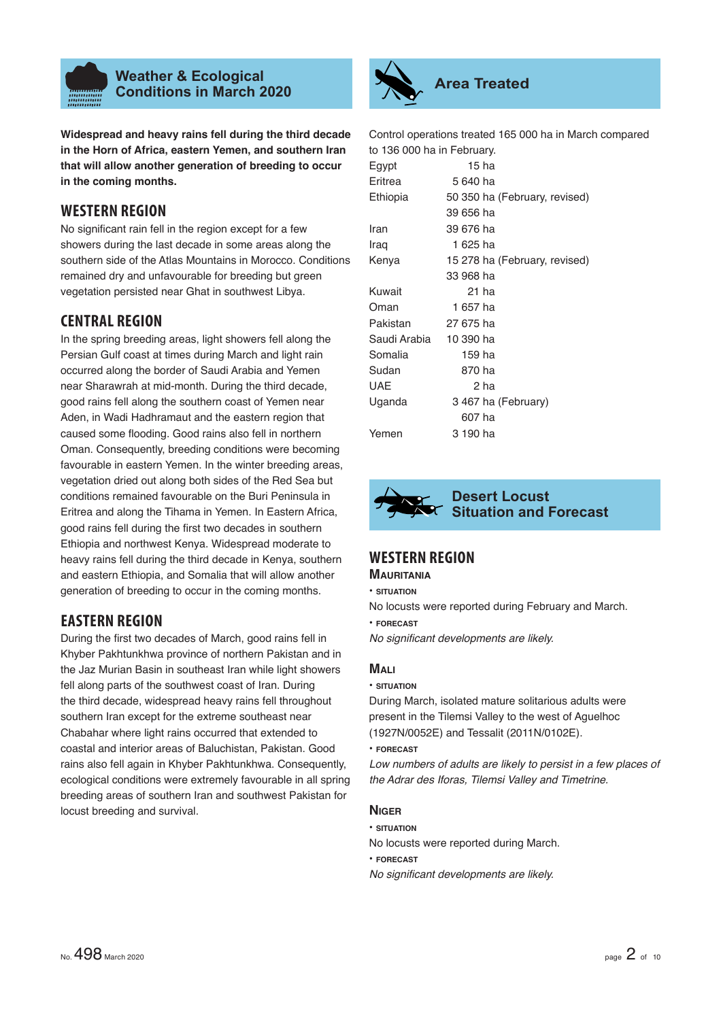

**Widespread and heavy rains fell during the third decade in the Horn of Africa, eastern Yemen, and southern Iran that will allow another generation of breeding to occur in the coming months.**

# **WESTERN REGION**

No significant rain fell in the region except for a few showers during the last decade in some areas along the southern side of the Atlas Mountains in Morocco. Conditions remained dry and unfavourable for breeding but green vegetation persisted near Ghat in southwest Libya.

# **CENTRAL REGION**

In the spring breeding areas, light showers fell along the Persian Gulf coast at times during March and light rain occurred along the border of Saudi Arabia and Yemen near Sharawrah at mid-month. During the third decade, good rains fell along the southern coast of Yemen near Aden, in Wadi Hadhramaut and the eastern region that caused some flooding. Good rains also fell in northern Oman. Consequently, breeding conditions were becoming favourable in eastern Yemen. In the winter breeding areas, vegetation dried out along both sides of the Red Sea but conditions remained favourable on the Buri Peninsula in Eritrea and along the Tihama in Yemen. In Eastern Africa, good rains fell during the first two decades in southern Ethiopia and northwest Kenya. Widespread moderate to heavy rains fell during the third decade in Kenya, southern and eastern Ethiopia, and Somalia that will allow another generation of breeding to occur in the coming months.

# **EASTERN REGION**

During the first two decades of March, good rains fell in Khyber Pakhtunkhwa province of northern Pakistan and in the Jaz Murian Basin in southeast Iran while light showers fell along parts of the southwest coast of Iran. During the third decade, widespread heavy rains fell throughout southern Iran except for the extreme southeast near Chabahar where light rains occurred that extended to coastal and interior areas of Baluchistan, Pakistan. Good rains also fell again in Khyber Pakhtunkhwa. Consequently, ecological conditions were extremely favourable in all spring breeding areas of southern Iran and southwest Pakistan for locust breeding and survival.



Control operations treated 165 000 ha in March compared to 136 000 ha in February.

| Egypt        | 15 ha                         |
|--------------|-------------------------------|
| Eritrea      | 5 640 ha                      |
| Ethiopia     | 50 350 ha (February, revised) |
|              | 39 656 ha                     |
| Iran         | 39 676 ha                     |
| Iraq         | 1 625 ha                      |
| Kenya        | 15 278 ha (February, revised) |
|              | 33 968 ha                     |
| Kuwait       | 21 ha                         |
| Oman         | 1 657 ha                      |
| Pakistan     | 27 675 ha                     |
| Saudi Arabia | 10 390 ha                     |
| Somalia      | 159 ha                        |
| Sudan        | 870 ha                        |
| UAE          | 2 ha                          |
| Uganda       | 3 467 ha (February)           |
|              | 607 ha                        |
| Yemen        | 3 190 ha                      |



# **Desert Locust Situation and Forecast**

# **WESTERN REGION**

# **MAURITANIA**

- **SITUATION**
- No locusts were reported during February and March.
- **FORECAST**

**No significant developments are likely.** 

# **MALI**

**• SITUATION**

During March, isolated mature solitarious adults were present in the Tilemsi Valley to the west of Aguelhoc (1927N/0052E) and Tessalit (2011N/0102E).

**• FORECAST**

*Low numbers of adults are likely to persist in a few places of the Adrar des Iforas, Tilemsi Valley and Timetrine.*

# **NIGER**

# **• SITUATION**

No locusts were reported during March.

**• FORECAST**

*No significant developments are likely.*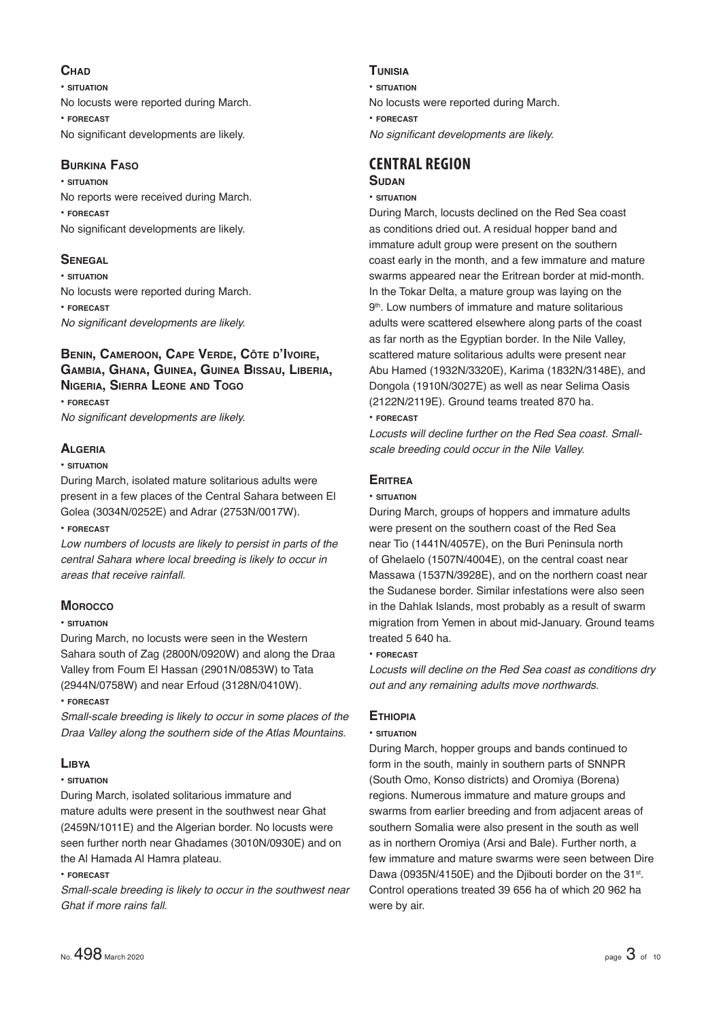# **CHAD**

**• SITUATION** No locusts were reported during March. **• FORECAST** No significant developments are likely.

# **BURKINA FASO**

**• SITUATION** No reports were received during March. **• FORECAST** No significant developments are likely.

# **SENEGAL**

**• SITUATION** No locusts were reported during March. **• FORECAST** *No significant developments are likely.* 

# **BENIN, CAMEROON, CAPE VERDE, CÔTE D'IVOIRE, GAMBIA, GHANA, GUINEA, GUINEA BISSAU, LIBERIA, NIGERIA, SIERRA LEONE AND TOGO**

**• FORECAST** *No significant developments are likely.* 

# **ALGERIA**

#### **• SITUATION**

During March, isolated mature solitarious adults were present in a few places of the Central Sahara between El Golea (3034N/0252E) and Adrar (2753N/0017W).

#### **• FORECAST**

*Low numbers of locusts are likely to persist in parts of the central Sahara where local breeding is likely to occur in areas that receive rainfall.*

# **MOROCCO**

# **• SITUATION**

During March, no locusts were seen in the Western Sahara south of Zag (2800N/0920W) and along the Draa Valley from Foum El Hassan (2901N/0853W) to Tata (2944N/0758W) and near Erfoud (3128N/0410W).

#### **• FORECAST**

*Small-scale breeding is likely to occur in some places of the Draa Valley along the southern side of the Atlas Mountains.*

# **LIBYA**

# **• SITUATION**

During March, isolated solitarious immature and mature adults were present in the southwest near Ghat (2459N/1011E) and the Algerian border. No locusts were seen further north near Ghadames (3010N/0930E) and on the Al Hamada Al Hamra plateau.

# **• FORECAST**

*Small-scale breeding is likely to occur in the southwest near Ghat if more rains fall.*

# **TUNISIA**

**• SITUATION**

- No locusts were reported during March.
- **FORECAST**

*No significant developments are likely.* 

#### **CENTRAL REGION SUDAN**

# **• SITUATION**

During March, locusts declined on the Red Sea coast as conditions dried out. A residual hopper band and immature adult group were present on the southern coast early in the month, and a few immature and mature swarms appeared near the Eritrean border at mid-month. In the Tokar Delta, a mature group was laying on the 9<sup>th</sup>. Low numbers of immature and mature solitarious adults were scattered elsewhere along parts of the coast as far north as the Egyptian border. In the Nile Valley, scattered mature solitarious adults were present near Abu Hamed (1932N/3320E), Karima (1832N/3148E), and Dongola (1910N/3027E) as well as near Selima Oasis (2122N/2119E). Ground teams treated 870 ha. **• FORECAST**

*Locusts will decline further on the Red Sea coast. Smallscale breeding could occur in the Nile Valley.*

# **ERITREA**

#### **• SITUATION**

During March, groups of hoppers and immature adults were present on the southern coast of the Red Sea near Tio (1441N/4057E), on the Buri Peninsula north of Ghelaelo (1507N/4004E), on the central coast near Massawa (1537N/3928E), and on the northern coast near the Sudanese border. Similar infestations were also seen in the Dahlak Islands, most probably as a result of swarm migration from Yemen in about mid-January. Ground teams treated 5 640 ha.

# **• FORECAST**

*Locusts will decline on the Red Sea coast as conditions dry out and any remaining adults move northwards.*

# **ETHIOPIA**

# **• SITUATION**

During March, hopper groups and bands continued to form in the south, mainly in southern parts of SNNPR (South Omo, Konso districts) and Oromiya (Borena) regions. Numerous immature and mature groups and swarms from earlier breeding and from adjacent areas of southern Somalia were also present in the south as well as in northern Oromiya (Arsi and Bale). Further north, a few immature and mature swarms were seen between Dire Dawa (0935N/4150E) and the Diibouti border on the 31st. Control operations treated 39 656 ha of which 20 962 ha were by air.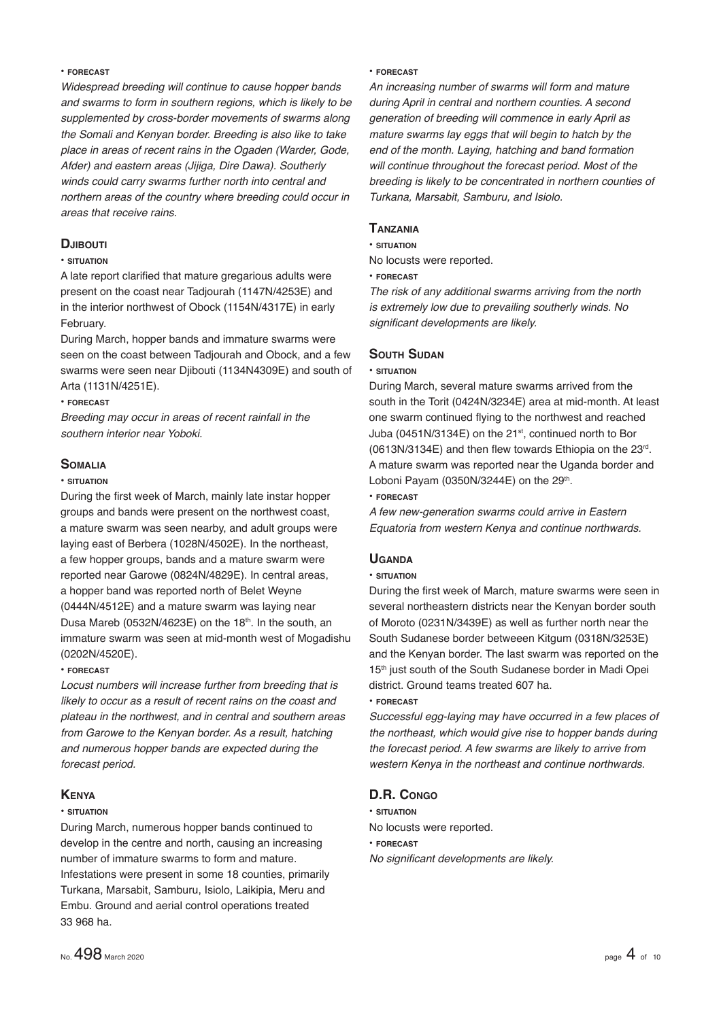#### **• FORECAST**

*Widespread breeding will continue to cause hopper bands and swarms to form in southern regions, which is likely to be supplemented by cross-border movements of swarms along the Somali and Kenyan border. Breeding is also like to take place in areas of recent rains in the Ogaden (Warder, Gode, Afder) and eastern areas (Jijiga, Dire Dawa). Southerly winds could carry swarms further north into central and northern areas of the country where breeding could occur in areas that receive rains.*

#### **DJIBOUTI**

#### **• SITUATION**

A late report clarified that mature gregarious adults were present on the coast near Tadjourah (1147N/4253E) and in the interior northwest of Obock (1154N/4317E) in early February.

During March, hopper bands and immature swarms were seen on the coast between Tadjourah and Obock, and a few swarms were seen near Djibouti (1134N4309E) and south of Arta (1131N/4251E).

#### **• FORECAST**

*Breeding may occur in areas of recent rainfall in the southern interior near Yoboki.* 

# **SOMALIA**

#### **• SITUATION**

During the first week of March, mainly late instar hopper groups and bands were present on the northwest coast, a mature swarm was seen nearby, and adult groups were laying east of Berbera (1028N/4502E). In the northeast, a few hopper groups, bands and a mature swarm were reported near Garowe (0824N/4829E). In central areas, a hopper band was reported north of Belet Weyne (0444N/4512E) and a mature swarm was laying near Dusa Mareb (0532N/4623E) on the  $18<sup>th</sup>$ . In the south, an immature swarm was seen at mid-month west of Mogadishu (0202N/4520E).

#### **• FORECAST**

*Locust numbers will increase further from breeding that is likely to occur as a result of recent rains on the coast and plateau in the northwest, and in central and southern areas from Garowe to the Kenyan border. As a result, hatching and numerous hopper bands are expected during the forecast period.*

#### **KENYA**

#### **• SITUATION**

During March, numerous hopper bands continued to develop in the centre and north, causing an increasing number of immature swarms to form and mature. Infestations were present in some 18 counties, primarily Turkana, Marsabit, Samburu, Isiolo, Laikipia, Meru and Embu. Ground and aerial control operations treated 33 968 ha.

#### **• FORECAST**

*An increasing number of swarms will form and mature during April in central and northern counties. A second generation of breeding will commence in early April as mature swarms lay eggs that will begin to hatch by the end of the month. Laying, hatching and band formation will continue throughout the forecast period. Most of the breeding is likely to be concentrated in northern counties of Turkana, Marsabit, Samburu, and Isiolo.*

#### **TANZANIA**

**• SITUATION**

No locusts were reported.

**• FORECAST**

*The risk of any additional swarms arriving from the north is extremely low due to prevailing southerly winds. No*  significant developments are likely.

#### **SOUTH SUDAN**

#### **• SITUATION**

During March, several mature swarms arrived from the south in the Torit (0424N/3234E) area at mid-month. At least one swarm continued flying to the northwest and reached Juba (0451N/3134E) on the 21<sup>st</sup>, continued north to Bor  $(0613N/3134E)$  and then flew towards Ethiopia on the 23rd. A mature swarm was reported near the Uganda border and Loboni Payam (0350N/3244E) on the  $29<sup>th</sup>$ .

#### **• FORECAST**

*A few new-generation swarms could arrive in Eastern Equatoria from western Kenya and continue northwards.*

# **UGANDA**

#### **• SITUATION**

During the first week of March, mature swarms were seen in several northeastern districts near the Kenyan border south of Moroto (0231N/3439E) as well as further north near the South Sudanese border betweeen Kitgum (0318N/3253E) and the Kenyan border. The last swarm was reported on the 15<sup>th</sup> just south of the South Sudanese border in Madi Opei district. Ground teams treated 607 ha.

#### **• FORECAST**

*Successful egg-laying may have occurred in a few places of the northeast, which would give rise to hopper bands during the forecast period. A few swarms are likely to arrive from western Kenya in the northeast and continue northwards.*

# **D.R. CONGO**

- **SITUATION**
- No locusts were reported.
- **FORECAST**

*No significant developments are likely.*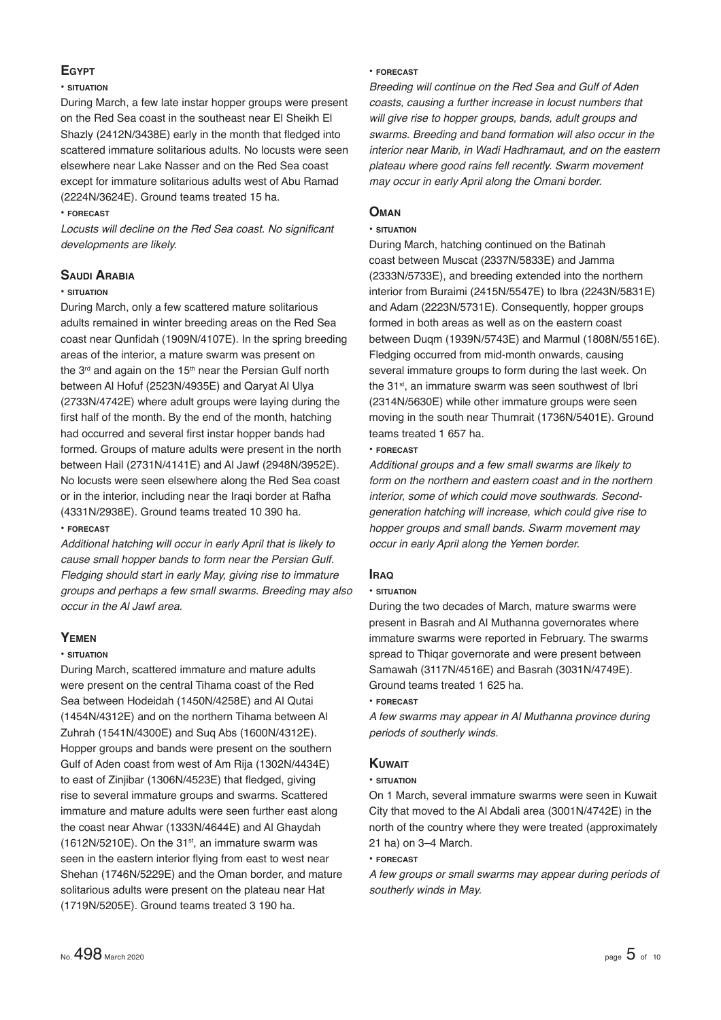# **EGYPT**

#### **• SITUATION**

During March, a few late instar hopper groups were present on the Red Sea coast in the southeast near El Sheikh El Shazly (2412N/3438E) early in the month that fledged into scattered immature solitarious adults. No locusts were seen elsewhere near Lake Nasser and on the Red Sea coast except for immature solitarious adults west of Abu Ramad (2224N/3624E). Ground teams treated 15 ha.

#### **• FORECAST**

Locusts will decline on the Red Sea coast. No significant *developments are likely.*

#### **SAUDI ARABIA**

#### **• SITUATION**

During March, only a few scattered mature solitarious adults remained in winter breeding areas on the Red Sea coast near Qunfidah (1909N/4107E). In the spring breeding areas of the interior, a mature swarm was present on the  $3<sup>rd</sup>$  and again on the  $15<sup>th</sup>$  near the Persian Gulf north between Al Hofuf (2523N/4935E) and Qaryat Al Ulya (2733N/4742E) where adult groups were laying during the first half of the month. By the end of the month, hatching had occurred and several first instar hopper bands had formed. Groups of mature adults were present in the north between Hail (2731N/4141E) and Al Jawf (2948N/3952E). No locusts were seen elsewhere along the Red Sea coast or in the interior, including near the Iraqi border at Rafha (4331N/2938E). Ground teams treated 10 390 ha.

#### **• FORECAST**

*Additional hatching will occur in early April that is likely to cause small hopper bands to form near the Persian Gulf. Fledging should start in early May, giving rise to immature groups and perhaps a few small swarms. Breeding may also occur in the Al Jawf area.*

#### **YEMEN**

#### **• SITUATION**

During March, scattered immature and mature adults were present on the central Tihama coast of the Red Sea between Hodeidah (1450N/4258E) and Al Qutai (1454N/4312E) and on the northern Tihama between Al Zuhrah (1541N/4300E) and Suq Abs (1600N/4312E). Hopper groups and bands were present on the southern Gulf of Aden coast from west of Am Rija (1302N/4434E) to east of Zinjibar (1306N/4523E) that fledged, giving rise to several immature groups and swarms. Scattered immature and mature adults were seen further east along the coast near Ahwar (1333N/4644E) and Al Ghaydah  $(1612N/5210E)$ . On the 31st, an immature swarm was seen in the eastern interior flying from east to west near Shehan (1746N/5229E) and the Oman border, and mature solitarious adults were present on the plateau near Hat (1719N/5205E). Ground teams treated 3 190 ha.

#### **• FORECAST**

*Breeding will continue on the Red Sea and Gulf of Aden coasts, causing a further increase in locust numbers that will give rise to hopper groups, bands, adult groups and swarms. Breeding and band formation will also occur in the interior near Marib, in Wadi Hadhramaut, and on the eastern plateau where good rains fell recently. Swarm movement may occur in early April along the Omani border.*

#### **OMAN**

#### **• SITUATION**

During March, hatching continued on the Batinah coast between Muscat (2337N/5833E) and Jamma (2333N/5733E), and breeding extended into the northern interior from Buraimi (2415N/5547E) to Ibra (2243N/5831E) and Adam (2223N/5731E). Consequently, hopper groups formed in both areas as well as on the eastern coast between Duqm (1939N/5743E) and Marmul (1808N/5516E). Fledging occurred from mid-month onwards, causing several immature groups to form during the last week. On the 31<sup>st</sup>, an immature swarm was seen southwest of Ibri (2314N/5630E) while other immature groups were seen moving in the south near Thumrait (1736N/5401E). Ground teams treated 1 657 ha.

#### **• FORECAST**

*Additional groups and a few small swarms are likely to form on the northern and eastern coast and in the northern interior, some of which could move southwards. Secondgeneration hatching will increase, which could give rise to hopper groups and small bands. Swarm movement may occur in early April along the Yemen border.*

# **IRAQ**

#### **• SITUATION**

During the two decades of March, mature swarms were present in Basrah and Al Muthanna governorates where immature swarms were reported in February. The swarms spread to Thiqar governorate and were present between Samawah (3117N/4516E) and Basrah (3031N/4749E). Ground teams treated 1 625 ha.

#### **• FORECAST**

*A few swarms may appear in Al Muthanna province during periods of southerly winds.*

# **KUWAIT**

#### **• SITUATION**

On 1 March, several immature swarms were seen in Kuwait City that moved to the Al Abdali area (3001N/4742E) in the north of the country where they were treated (approximately 21 ha) on 3–4 March.

#### **• FORECAST**

*A few groups or small swarms may appear during periods of southerly winds in May.*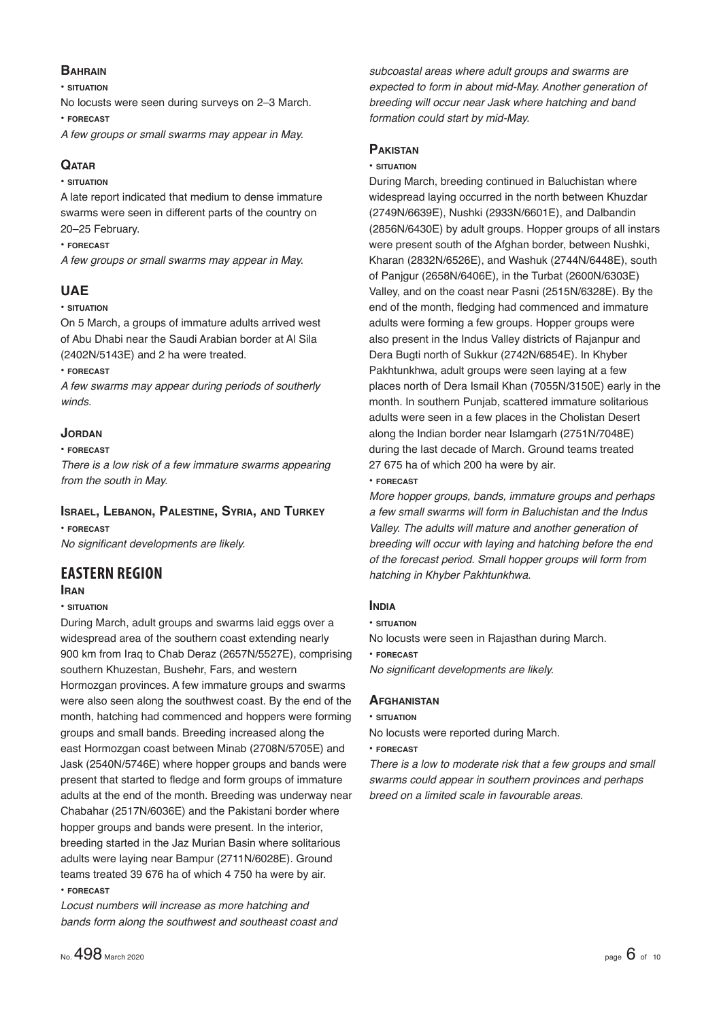# **BAHRAIN**

**• SITUATION**

No locusts were seen during surveys on 2–3 March.

**• FORECAST**

*A few groups or small swarms may appear in May.*

# **QATAR**

**• SITUATION**

A late report indicated that medium to dense immature swarms were seen in different parts of the country on 20–25 February.

**• FORECAST**

*A few groups or small swarms may appear in May.*

# **UAE**

#### **• SITUATION**

On 5 March, a groups of immature adults arrived west of Abu Dhabi near the Saudi Arabian border at Al Sila (2402N/5143E) and 2 ha were treated.

**• FORECAST**

*A few swarms may appear during periods of southerly winds.*

# **JORDAN**

#### **• FORECAST**

*There is a low risk of a few immature swarms appearing from the south in May.*

# **ISRAEL, LEBANON, PALESTINE, SYRIA, AND TURKEY**

**• FORECAST** *No significant developments are likely.* 

# **EASTERN REGION**

#### **IRAN**

#### **• SITUATION**

During March, adult groups and swarms laid eggs over a widespread area of the southern coast extending nearly 900 km from Iraq to Chab Deraz (2657N/5527E), comprising southern Khuzestan, Bushehr, Fars, and western Hormozgan provinces. A few immature groups and swarms were also seen along the southwest coast. By the end of the month, hatching had commenced and hoppers were forming groups and small bands. Breeding increased along the east Hormozgan coast between Minab (2708N/5705E) and Jask (2540N/5746E) where hopper groups and bands were present that started to fledge and form groups of immature adults at the end of the month. Breeding was underway near Chabahar (2517N/6036E) and the Pakistani border where hopper groups and bands were present. In the interior, breeding started in the Jaz Murian Basin where solitarious adults were laying near Bampur (2711N/6028E). Ground teams treated 39 676 ha of which 4 750 ha were by air. **• FORECAST**

*Locust numbers will increase as more hatching and bands form along the southwest and southeast coast and* 

*subcoastal areas where adult groups and swarms are expected to form in about mid-May. Another generation of breeding will occur near Jask where hatching and band formation could start by mid-May.*

# **PAKISTAN**

#### **• SITUATION**

During March, breeding continued in Baluchistan where widespread laying occurred in the north between Khuzdar (2749N/6639E), Nushki (2933N/6601E), and Dalbandin (2856N/6430E) by adult groups. Hopper groups of all instars were present south of the Afghan border, between Nushki, Kharan (2832N/6526E), and Washuk (2744N/6448E), south of Panjgur (2658N/6406E), in the Turbat (2600N/6303E) Valley, and on the coast near Pasni (2515N/6328E). By the end of the month, fledging had commenced and immature adults were forming a few groups. Hopper groups were also present in the Indus Valley districts of Rajanpur and Dera Bugti north of Sukkur (2742N/6854E). In Khyber Pakhtunkhwa, adult groups were seen laying at a few places north of Dera Ismail Khan (7055N/3150E) early in the month. In southern Punjab, scattered immature solitarious adults were seen in a few places in the Cholistan Desert along the Indian border near Islamgarh (2751N/7048E) during the last decade of March. Ground teams treated 27 675 ha of which 200 ha were by air. **• FORECAST**

*More hopper groups, bands, immature groups and perhaps a few small swarms will form in Baluchistan and the Indus Valley. The adults will mature and another generation of breeding will occur with laying and hatching before the end of the forecast period. Small hopper groups will form from hatching in Khyber Pakhtunkhwa.*

# **INDIA**

- **SITUATION**
- No locusts were seen in Rajasthan during March.
- **FORECAST**

*No significant developments are likely.* 

# **AFGHANISTAN**

**• SITUATION**

No locusts were reported during March.

**• FORECAST**

*There is a low to moderate risk that a few groups and small swarms could appear in southern provinces and perhaps breed on a limited scale in favourable areas.*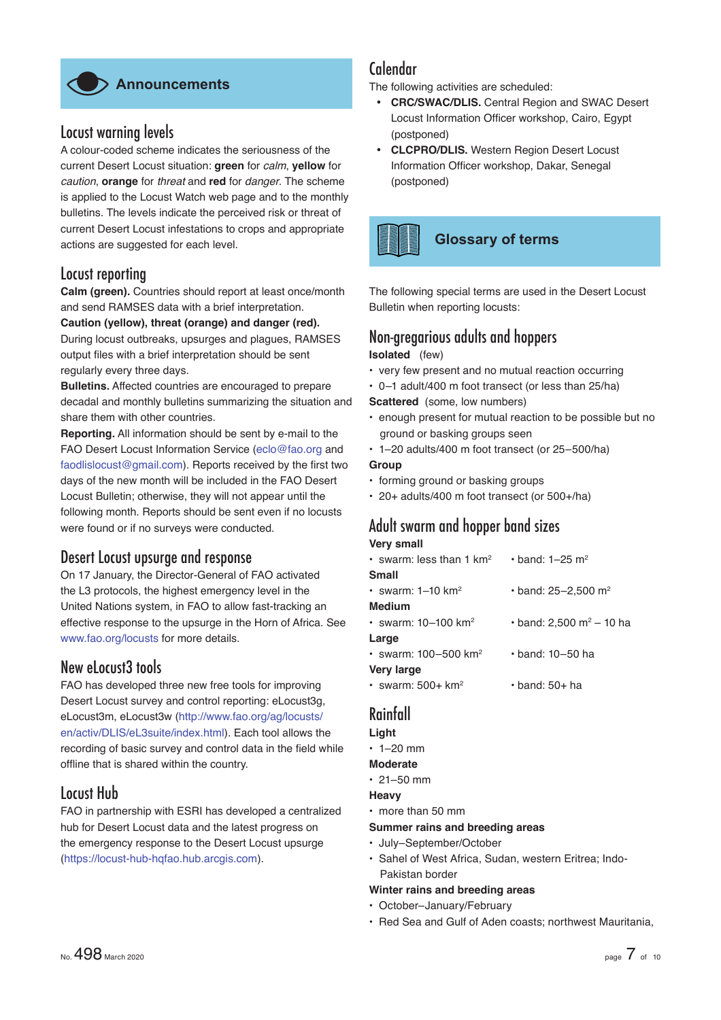

# Locust warning levels

A colour-coded scheme indicates the seriousness of the current Desert Locust situation: **green** for *calm*, **yellow** for *caution*, **orange** for *threat* and **red** for *danger*. The scheme is applied to the Locust Watch web page and to the monthly bulletins. The levels indicate the perceived risk or threat of current Desert Locust infestations to crops and appropriate actions are suggested for each level.

# Locust reporting

**Calm (green).** Countries should report at least once/month and send RAMSES data with a brief interpretation.

#### **Caution (yellow), threat (orange) and danger (red).**

During locust outbreaks, upsurges and plagues, RAMSES output files with a brief interpretation should be sent regularly every three days.

**Bulletins.** Affected countries are encouraged to prepare decadal and monthly bulletins summarizing the situation and share them with other countries.

**Reporting.** All information should be sent by e-mail to the FAO Desert Locust Information Service (eclo@fao.org and faodlislocust@gmail.com). Reports received by the first two days of the new month will be included in the FAO Desert Locust Bulletin; otherwise, they will not appear until the following month. Reports should be sent even if no locusts were found or if no surveys were conducted.

# Desert Locust upsurge and response

On 17 January, the Director-General of FAO activated the L3 protocols, the highest emergency level in the United Nations system, in FAO to allow fast-tracking an effective response to the upsurge in the Horn of Africa. See www.fao.org/locusts for more details.

# New eLocust3 tools

FAO has developed three new free tools for improving Desert Locust survey and control reporting: eLocust3g, eLocust3m, eLocust3w (http://www.fao.org/ag/locusts/ en/activ/DLIS/eL3suite/index.html). Each tool allows the recording of basic survey and control data in the field while offline that is shared within the country.

# Locust Hub

FAO in partnership with ESRI has developed a centralized hub for Desert Locust data and the latest progress on the emergency response to the Desert Locust upsurge (https://locust-hub-hqfao.hub.arcgis.com).

# Calendar

The following activities are scheduled:

- **CRC/SWAC/DLIS.** Central Region and SWAC Desert Locust Information Officer workshop, Cairo, Egypt (postponed)
- **CLCPRO/DLIS.** Western Region Desert Locust Information Officer workshop, Dakar, Senegal (postponed)

# **Glossary of terms**

The following special terms are used in the Desert Locust Bulletin when reporting locusts:

# Non-gregarious adults and hoppers

# **Isolated** (few)

- very few present and no mutual reaction occurring
- 0–1 adult/400 m foot transect (or less than 25/ha)

**Scattered** (some, low numbers)

- enough present for mutual reaction to be possible but no ground or basking groups seen
- 1–20 adults/400 m foot transect (or 25–500/ha)
- **Group**
- forming ground or basking groups
- 20+ adults/400 m foot transect (or 500+/ha)

# Adult swarm and hopper band sizes

#### **Very small**

| • swarm: less than 1 km <sup>2</sup> | • band: $1 - 25$ m <sup>2</sup>       |
|--------------------------------------|---------------------------------------|
| Small                                |                                       |
| • swarm: $1-10$ km <sup>2</sup>      | $\cdot$ band: 25-2,500 m <sup>2</sup> |
| <b>Medium</b>                        |                                       |
| • swarm: $10-100$ km <sup>2</sup>    | • band: 2,500 m <sup>2</sup> – 10 ha  |
| Large                                |                                       |
| • swarm: $100 - 500$ km <sup>2</sup> | $\cdot$ band: 10–50 ha                |
| <b>Very large</b>                    |                                       |
| $\cdot$ swarm: 500+ km <sup>2</sup>  | $\cdot$ band: 50+ ha                  |

# Rainfall

#### **Light**

- $\cdot$  1–20 mm
- **Moderate**
- $\cdot$  21–50 mm

# **Heavy**

• more than 50 mm

**Summer rains and breeding areas**

- July–September/October
- Sahel of West Africa, Sudan, western Eritrea; Indo-Pakistan border

# **Winter rains and breeding areas**

- October–January/February
- Red Sea and Gulf of Aden coasts; northwest Mauritania,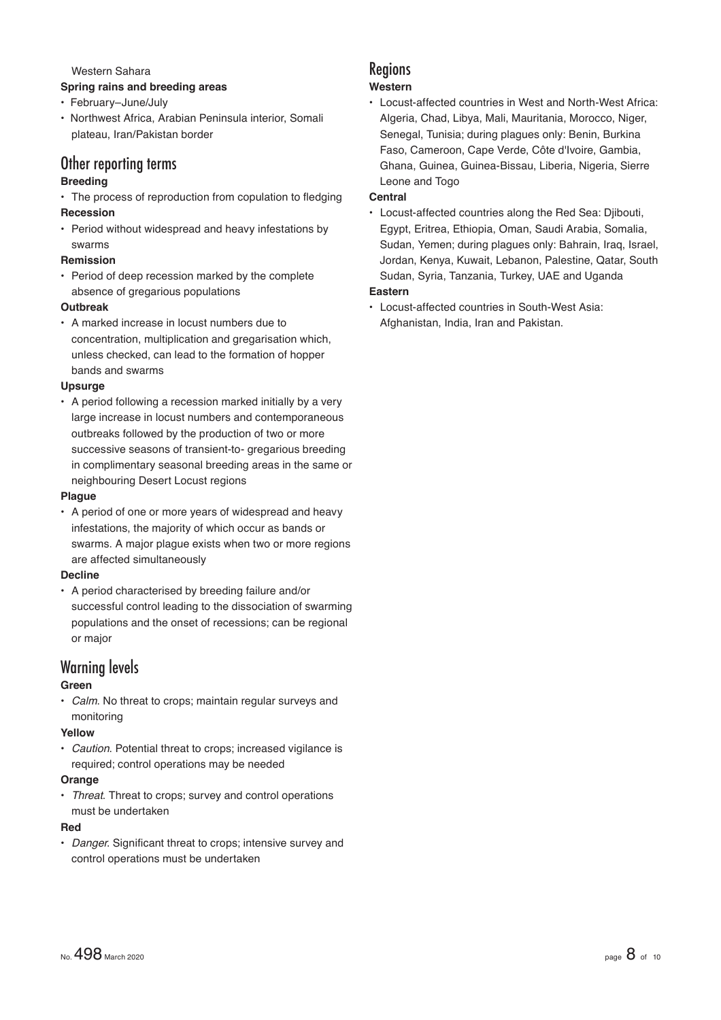Western Sahara

- **Spring rains and breeding areas**
- February–June/July
- Northwest Africa, Arabian Peninsula interior, Somali plateau, Iran/Pakistan border

# Other reporting terms

# **Breeding**

- The process of reproduction from copulation to fledging **Recession**
- Period without widespread and heavy infestations by swarms

#### **Remission**

• Period of deep recession marked by the complete absence of gregarious populations

# **Outbreak**

• A marked increase in locust numbers due to concentration, multiplication and gregarisation which, unless checked, can lead to the formation of hopper bands and swarms

#### **Upsurge**

• A period following a recession marked initially by a very large increase in locust numbers and contemporaneous outbreaks followed by the production of two or more successive seasons of transient-to- gregarious breeding in complimentary seasonal breeding areas in the same or neighbouring Desert Locust regions

#### **Plague**

• A period of one or more years of widespread and heavy infestations, the majority of which occur as bands or swarms. A major plague exists when two or more regions are affected simultaneously

# **Decline**

• A period characterised by breeding failure and/or successful control leading to the dissociation of swarming populations and the onset of recessions; can be regional or major

# Warning levels

# **Green**

• *Calm*. No threat to crops; maintain regular surveys and monitoring

# **Yellow**

• *Caution*. Potential threat to crops; increased vigilance is required; control operations may be needed

#### **Orange**

• *Threat*. Threat to crops; survey and control operations must be undertaken

# **Red**

**Danger.** Significant threat to crops: intensive survey and control operations must be undertaken

# Regions

# **Western**

• Locust-affected countries in West and North-West Africa: Algeria, Chad, Libya, Mali, Mauritania, Morocco, Niger, Senegal, Tunisia; during plagues only: Benin, Burkina Faso, Cameroon, Cape Verde, Côte d'Ivoire, Gambia, Ghana, Guinea, Guinea-Bissau, Liberia, Nigeria, Sierre Leone and Togo

# **Central**

• Locust-affected countries along the Red Sea: Djibouti, Egypt, Eritrea, Ethiopia, Oman, Saudi Arabia, Somalia, Sudan, Yemen; during plagues only: Bahrain, Iraq, Israel, Jordan, Kenya, Kuwait, Lebanon, Palestine, Qatar, South Sudan, Syria, Tanzania, Turkey, UAE and Uganda

# **Eastern**

• Locust-affected countries in South-West Asia: Afghanistan, India, Iran and Pakistan.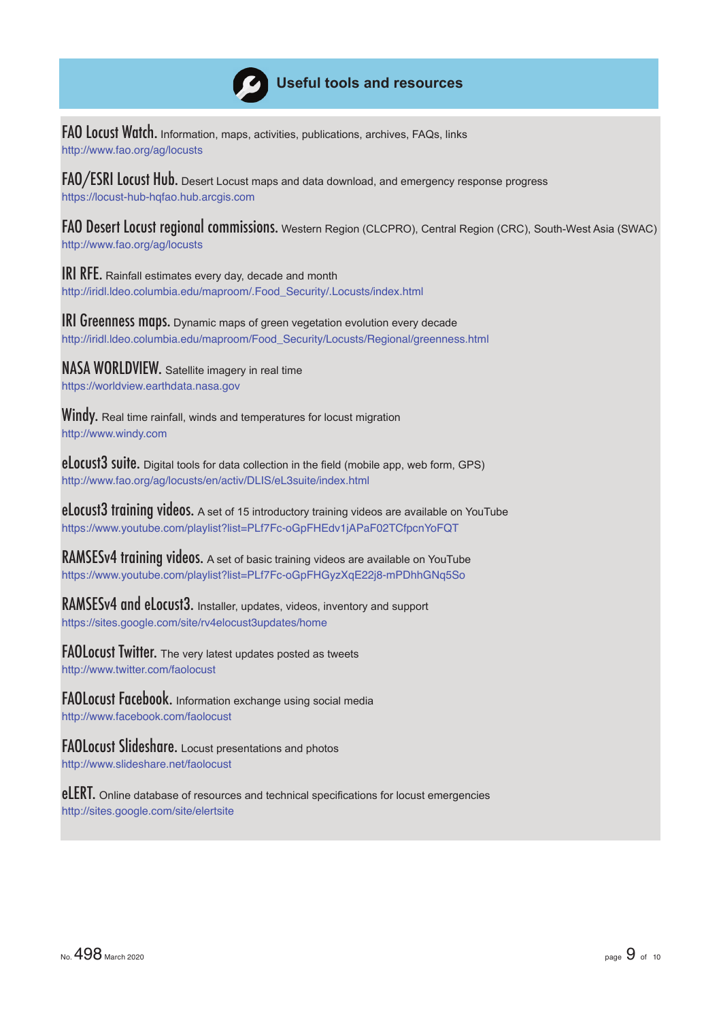

# **Useful tools and resources**

FAO Locust Watch. Information, maps, activities, publications, archives, FAQs, links http://www.fao.org/ag/locusts

FAO/ESRI Locust Hub. Desert Locust maps and data download, and emergency response progress https://locust-hub-hqfao.hub.arcgis.com

FAO Desert Locust regional commissions. Western Region (CLCPRO), Central Region (CRC), South-West Asia (SWAC) http://www.fao.org/ag/locusts

**IRI RFE.** Rainfall estimates every day, decade and month http://iridl.ldeo.columbia.edu/maproom/.Food\_Security/.Locusts/index.html

**IRI Greenness maps.** Dynamic maps of green vegetation evolution every decade http://iridl.ldeo.columbia.edu/maproom/Food\_Security/Locusts/Regional/greenness.html

NASA WORLDVIEW. Satellite imagery in real time https://worldview.earthdata.nasa.gov

**Windy.** Real time rainfall, winds and temperatures for locust migration http://www.windy.com

eLocust3 suite. Digital tools for data collection in the field (mobile app, web form, GPS) http://www.fao.org/ag/locusts/en/activ/DLIS/eL3suite/index.html

**eLocust3 training videos.** A set of 15 introductory training videos are available on YouTube https://www.youtube.com/playlist?list=PLf7Fc-oGpFHEdv1jAPaF02TCfpcnYoFQT

RAMSESv4 training videos. A set of basic training videos are available on YouTube https://www.youtube.com/playlist?list=PLf7Fc-oGpFHGyzXqE22j8-mPDhhGNq5So

RAMSESv4 and eLocust3. Installer, updates, videos, inventory and support https://sites.google.com/site/rv4elocust3updates/home

FAOLocust Twitter. The very latest updates posted as tweets http://www.twitter.com/faolocust

FAOLocust Facebook. Information exchange using social media http://www.facebook.com/faolocust

FAOLocust Slideshare. Locust presentations and photos http://www.slideshare.net/faolocust

eLERT. Online database of resources and technical specifications for locust emergencies http://sites.google.com/site/elertsite